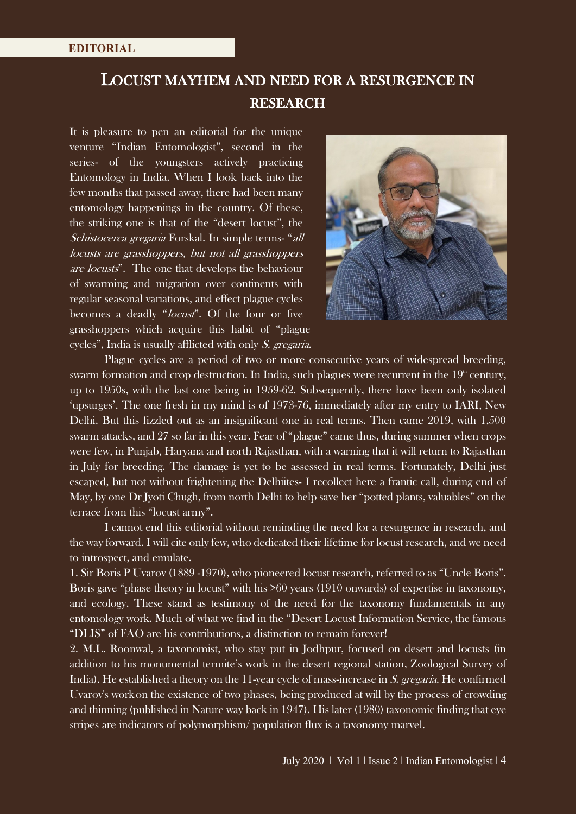## LOCUST MAYHEM AND NEED FOR A RESURGENCE IN RESEARCH

It is pleasure to pen an editorial for the unique venture "Indian Entomologist", second in the series- of the youngsters actively practicing Entomology in India. When I look back into the few months that passed away, there had been many entomology happenings in the country. Of these, the striking one is that of the "desert locust", the Schistocerca gregaria Forskal. In simple terms- "all locusts are grasshoppers, but not all grasshoppers are locusts". The one that develops the behaviour of swarming and migration over continents with regular seasonal variations, and effect plague cycles becomes a deadly "locust". Of the four or five grasshoppers which acquire this habit of "plague cycles", India is usually afflicted with only S. gregaria.



Plague cycles are a period of two or more consecutive years of widespread breeding, swarm formation and crop destruction. In India, such plagues were recurrent in the  $19<sup>th</sup>$  century, up to 1950s, with the last one being in 1959-62. Subsequently, there have been only isolated 'upsurges'. The one fresh in my mind is of 1973-76, immediately after my entry to IARI, New Delhi. But this fizzled out as an insignificant one in real terms. Then came 2019, with 1,500 swarm attacks, and 27 so far in this year. Fear of "plague" came thus, during summer when crops were few, in Punjab, Haryana and north Rajasthan, with a warning that it will return to Rajasthan in July for breeding. The damage is yet to be assessed in real terms. Fortunately, Delhi just escaped, but not without frightening the Delhiites- I recollect here a frantic call, during end of May, by one Dr Jyoti Chugh, from north Delhi to help save her "potted plants, valuables" on the terrace from this "locust army".

I cannot end this editorial without reminding the need for a resurgence in research, and the way forward. I will cite only few, who dedicated their lifetime for locust research, and we need to introspect, and emulate.

1. Sir Boris P Uvarov (1889 -1970), who pioneered locust research, referred to as "Uncle Boris". Boris gave "phase theory in locust" with his >60 years (1910 onwards) of expertise in taxonomy, and ecology. These stand as testimony of the need for the taxonomy fundamentals in any entomology work. Much of what we find in the "Desert Locust Information Service, the famous "DLIS" of FAO are his contributions, a distinction to remain forever!

2. M.L. Roonwal, a taxonomist, who stay put in Jodhpur, focused on desert and locusts (in addition to his monumental termite's work in the desert regional station, Zoological Survey of India). He established a theory on the 11-year cycle of mass-increase in S. gregaria. He confirmed Uvarov's workon the existence of two phases, being produced at will by the process of crowding and thinning (published in Nature way back in 1947). His later (1980) taxonomic finding that eye stripes are indicators of polymorphism/ population flux is a taxonomy marvel.